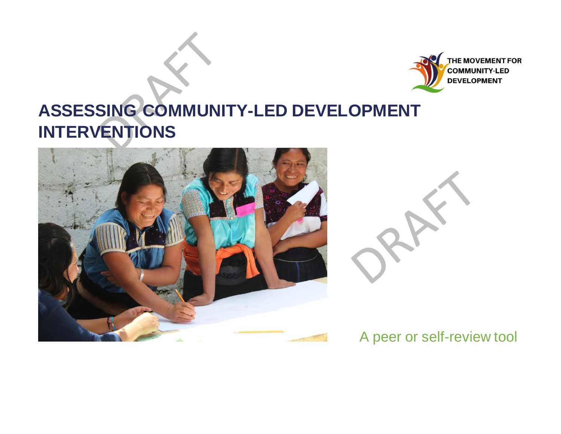

# **ASSESSING COMMUNITY-LED DEVELOPMENT INTERVENTIONS**





# A peer or self-review tool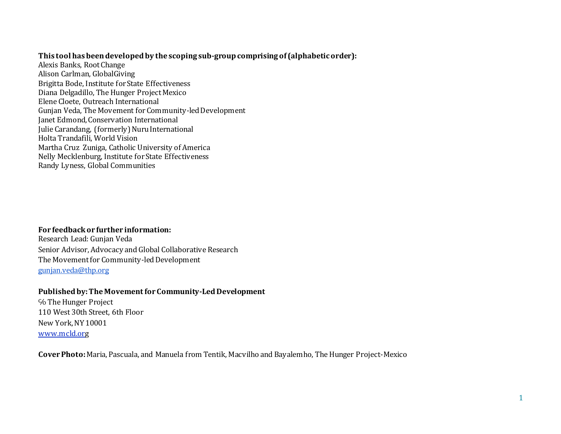#### **This tool has been developed by the scoping sub-group comprising of (alphabetic order):**

Alexis Banks, Root Change Alison Carlman, GlobalGiving Brigitta Bode, Institute for State Effectiveness Diana Delgadillo, The Hunger Project Mexico Elene Cloete, Outreach International Gunjan Veda, The Movement for Community-led Development Janet Edmond, Conservation International Julie Carandang, (formerly) Nuru International Holta Trandafili, World Vision Martha Cruz Zuniga, Catholic University of America Nelly Mecklenburg, Institute for State Effectiveness Randy Lyness, Global Communities

#### **For feedback or further information:** Research Lead: Gunjan Veda

Senior Advisor, Advocacy and Global Collaborative Research The Movement for Community-led Development [gunjan.veda@thp.org](mailto:gunjan.veda@thp.org)

# **Published by: The Movement for Community-Led Development**

℅ The Hunger Project 110 West 30th Street, 6th Floor New York, NY 10001 [www.mcld.or](https://nam04.safelinks.protection.outlook.com/?url=http%3A%2F%2Fact.thp.org%2Fsite%2FR%3Fi%3DgEcWjjFUitTn9tdXZSirnw&data=02%7C01%7Cjedmond%40conservation.org%7Cdff0c7de78d94a82274308d872030273%7Cc4de61a999b44c6a962ebd856602e8be%7C0%7C0%7C637384704556224245&sdata=aYQKkNUsilZnZchdEyFdGOMXDQciHLW%2B6Sz3qF433yg%3D&reserved=0)g

**Cover Photo:** Maria, Pascuala, and Manuela from Tentik, Macvilho and Bayalemho, The Hunger Project-Mexico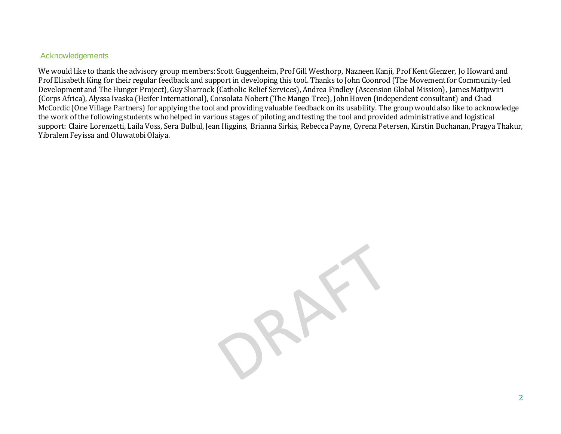#### Acknowledgements

We would like to thank the advisory group members: Scott Guggenheim, Prof Gill Westhorp, Nazneen Kanji, Prof Kent Glenzer, Jo Howard and Prof Elisabeth King for their regular feedback and support in developing this tool. Thanks to John Coonrod (The Movement for Community-led Development and The Hunger Project), Guy Sharrock (Catholic Relief Services), Andrea Findley (Ascension Global Mission), James Matipwiri (Corps Africa), Alyssa Ivaska (Heifer International), Consolata Nobert (The Mango Tree), John Hoven (independent consultant) and Chad McCordic (One Village Partners) for applying the tool and providing valuable feedback on its usability. The group would also like to acknowledge the work of the following students who helped in various stages of piloting and testing the tool and provided administrative and logistical support: Claire Lorenzetti, Laila Voss, Sera Bulbul, Jean Higgins, Brianna Sirkis, Rebecca Payne, Cyrena Petersen, Kirstin Buchanan, Pragya Thakur, Yibralem Feyissa and Oluwatobi Olaiya.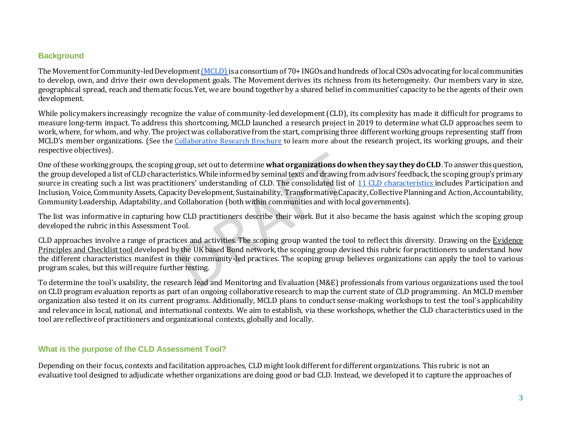#### **Background**

The Movement for Community-led Developmen[t \(MCLD\)](https://mcld.org/definition/) is a consortium of 70+ INGOs and hundreds of local CSOs advocating for local communities to develop, own, and drive their own development goals. The Movement derives its richness from its heterogeneity. Our members vary in size, geographical spread, reach and thematic focus. Yet, we are bound together by a shared belief in communities' capacity to be the agents of their own development.

While policymakers increasingly recognize the value of community-led development (CLD), its complexity has made it difficult for programs to measure long-term impact. To address this shortcoming, MCLD launched a research project in 2019 to determine what CLD approaches seem to work, where, for whom, and why. The project was collaborative from the start, comprising three different working groups representing staff from MCLD's member organizations. (See the [Collaborative](https://mcld.org/wp-content/uploads/2020/01/Meta-Synthesis-Note-SP-Updated_v5.pdf) [Research Brochure](https://mcld.org/wp-content/uploads/2020/01/Meta-Synthesis-Note-SP-Updated_v5.pdf) to learn more about the research project, its working groups, and their respective objectives).

One of these working groups, the scoping group, set out to determine **what organizations do when they say they do CLD**. To answer this question, the group developed a list of CLD characteristics. While informed by seminal texts and drawing from advisors' feedback, the scoping group's primary source in creating such a list was practitioners' understanding of CLD. The consolidated list of [11 CLD characteristics](https://mcld.org/wp-content/uploads/2020/11/11-Characteristics-for-CLD.pdf) includes Participation and Inclusion, Voice, Community Assets, Capacity Development, Sustainability, Transformative Capacity, Collective Planning and Action, Accountability, Community Leadership, Adaptability, and Collaboration (both within communities and with local governments).

The list was informative in capturing how CLD practitioners describe their work. But it also became the basis against which the scoping group developed the rubric in this Assessment Tool.

CLD approaches involve a range of practices and activities. The scoping group wanted the tool to reflect this diversity. Drawing on the Evidence [Principles and Checklist tool d](https://www.bond.org.uk/resources/evidence-principles)eveloped by the UK based Bond network, the scoping group devised this rubric for practitioners to understand how the different characteristics manifest in their community-led practices. The scoping group believes organizations can apply the tool to various program scales, but this will require further testing.

To determine the tool's usability, the research lead and Monitoring and Evaluation (M&E) professionals from various organizations used the tool on CLD program evaluation reports as part of an ongoing collaborative research to map the current state of CLD programming . An MCLD member organization also tested it on its current programs. Additionally, MCLD plans to conduct sense-making workshops to test the tool's applicability and relevance in local, national, and international contexts. We aim to establish, via these workshops, whether the CLD characteristics used in the tool are reflective of practitioners and organizational contexts, globally and locally.

#### **What is the purpose of the CLD Assessment Tool?**

Depending on their focus, contexts and facilitation approaches, CLD might look different for different organizations. This rubric is not an evaluative tool designed to adjudicate whether organizations are doing good or bad CLD. Instead, we developed it to capture the approaches of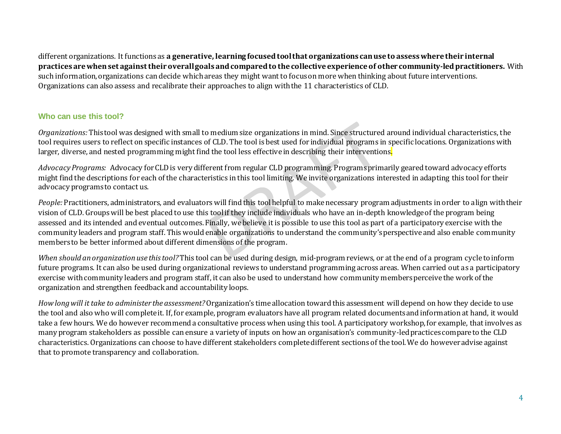different organizations. It functions as **a generative, learning focused tool that organizations can use to assess where their internal practices are when set against their overall goals and compared to the collective experience of other community-led practitioners.** With such information, organizations can decide which areas they might want to focus on more when thinking about future interventions. Organizations can also assess and recalibrate their approaches to align with the 11 characteristics of CLD.

#### **Who can use this tool?**

*Organizations:* This tool was designed with small to medium size organizations in mind. Since structured around individual characteristics, the tool requires users to reflect on specific instances of CLD. The tool is best used for individual programs in specific locations. Organizations with larger, diverse, and nested programming might find the tool less effective in describing their interventions.

*Advocacy Programs:* Advocacy for CLD is very different from regular CLD programming. Programs primarily geared toward advocacy efforts might find the descriptions for each of the characteristics in this tool limiting. We invite organizations interested in adapting this tool for their advocacy programs to contact us.

*People:* Practitioners, administrators, and evaluators will find this tool helpful to make necessary program adjustments in order to align with their vision of CLD. Groups will be best placed to use this tool if they include individuals who have an in-depth knowledge of the program being assessed and its intended and eventual outcomes. Finally, we believe it is possible to use this tool as part of a participatory exercise with the community leaders and program staff. This would enable organizations to understand the community's perspective and also enable community members to be better informed about different dimensions of the program.

*When should an organization use this tool?* This tool can be used during design, mid-program reviews, or at the end of a program cycle to inform future programs. It can also be used during organizational reviews to understand programming across areas. When carried out as a participatory exercise with community leaders and program staff, it can also be used to understand how community members perceive the work of the organization and strengthen feedback and accountability loops.

*How long will it take to administer the assessment?*Organization's time allocation toward this assessment will depend on how they decide to use the tool and also who will complete it. If, for example, program evaluators have all program related documents and information at hand, it would take a few hours. We do however recommend a consultative process when using this tool. A participatory workshop, for example, that involves as many program stakeholders as possible can ensure a variety of inputs on how an organisation's community-led practices compare to the CLD characteristics. Organizations can choose to have different stakeholders complete different sections of the tool. We do however advise against that to promote transparency and collaboration.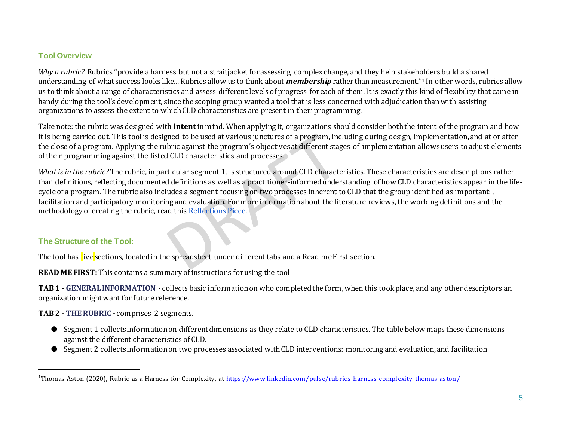## **Tool Overview**

*Why a rubric?* Rubrics "provide a harness but not a straitjacket for assessing complex change, and they help stakeholders build a shared understanding of what success looks like... Rubrics allow us to think about *membership* rather than measurement."<sup>1</sup> In other words, rubrics allow us to think about a range of characteristics and assess different levels of progress for each of them. It is exactly this kind of flexibility that came in handy during the tool's development, since the scoping group wanted a tool that is less concerned with adjudication than with assisting organizations to assess the extent to which CLD characteristics are present in their programming.

Take note: the rubric was designed with **intent** in mind. When applying it, organizations should consider both the intent of the program and how it is being carried out. This tool is designed to be used at various junctures of a program, including during design, implementation, and at or after the close of a program. Applying the rubric against the program's objectives at different stages of implementation allows users to adjust elements of their programming against the listed CLD characteristics and processes.

*What is in the rubric?*The rubric, in particular segment 1, is structured around CLD characteristics. These characteristics are descriptions rather than definitions, reflecting documented definitions as well as a practitioner-informed understanding of how CLD characteristics appear in the lifecycle of a program. The rubric also includes a segment focusing on two processes inherent to CLD that the group identified as important: , facilitation and participatory monitoring and evaluation. For more information about the literature reviews, the working definitions and the methodology of creating the rubric, read this [Reflections Piece.](https://mcld.org/wp-content/uploads/2020/11/Reflections-from-the-collaborative-research-Aug-2020-1.pdf) 

### **The Structure of the Tool:**

The tool has **f**ive sections, located in the spreadsheet under different tabs and a Read me First section.

**READ ME FIRST:**This contains a summary of instructions for using the tool

**TAB 1 - GENERAL INFORMATION** - collects basic information on who completed the form, when this took place, and any other descriptors an organization might want for future reference.

**TAB 2 - THE RUBRIC -** comprises 2 segments.

- Segment 1 collects information on different dimensions as they relate to CLD characteristics. The table below maps these dimensions against the different characteristics of CLD.
- Segment 2 collects information on two processes associated with CLD interventions: monitoring and evaluation, and facilitation

<sup>&</sup>lt;sup>1</sup>Thomas Aston (2020), Rubric as a Harness for Complexity, at https://www.linkedin.com/pulse/rubrics-harness-complexity-thomas-aston/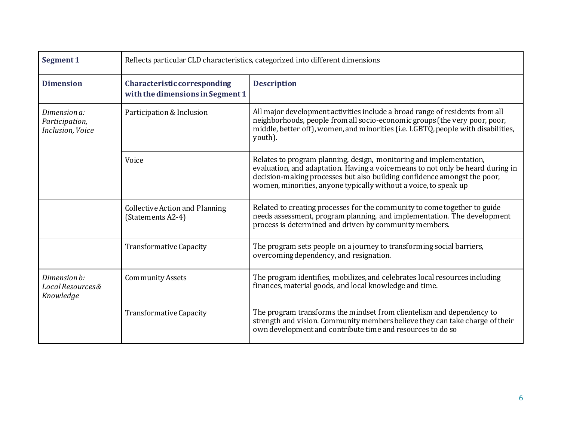| Segment 1                                          | Reflects particular CLD characteristics, categorized into different dimensions |                                                                                                                                                                                                                                                                                                        |
|----------------------------------------------------|--------------------------------------------------------------------------------|--------------------------------------------------------------------------------------------------------------------------------------------------------------------------------------------------------------------------------------------------------------------------------------------------------|
| <b>Dimension</b>                                   | Characteristic corresponding<br>with the dimensions in Segment 1               | <b>Description</b>                                                                                                                                                                                                                                                                                     |
| Dimension a:<br>Participation,<br>Inclusion, Voice | Participation & Inclusion                                                      | All major development activities include a broad range of residents from all<br>neighborhoods, people from all socio-economic groups (the very poor, poor,<br>middle, better off), women, and minorities (i.e. LGBTQ, people with disabilities,<br>youth).                                             |
|                                                    | Voice                                                                          | Relates to program planning, design, monitoring and implementation,<br>evaluation, and adaptation. Having a voice means to not only be heard during in<br>decision-making processes but also building confidence amongst the poor,<br>women, minorities, anyone typically without a voice, to speak up |
|                                                    | <b>Collective Action and Planning</b><br>(Statements A2-4)                     | Related to creating processes for the community to come together to guide<br>needs assessment, program planning, and implementation. The development<br>process is determined and driven by community members.                                                                                         |
|                                                    | Transformative Capacity                                                        | The program sets people on a journey to transforming social barriers,<br>overcoming dependency, and resignation.                                                                                                                                                                                       |
| Dimension b:<br>Local Resources&<br>Knowledge      | <b>Community Assets</b>                                                        | The program identifies, mobilizes, and celebrates local resources including<br>finances, material goods, and local knowledge and time.                                                                                                                                                                 |
|                                                    | Transformative Capacity                                                        | The program transforms the mindset from clientelism and dependency to<br>strength and vision. Community members believe they can take charge of their<br>own development and contribute time and resources to do so                                                                                    |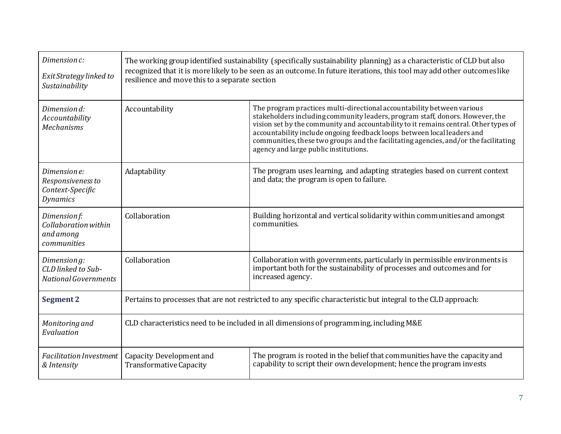| Dimension c:<br>Exit Strategy linked to<br>Sustainability                | The working group identified sustainability (specifically sustainability planning) as a characteristic of CLD but also<br>recognized that it is more likely to be seen as an outcome. In future iterations, this tool may add other outcomes like<br>resilience and move this to a separate section |                                                                                                                                                                                                                                                                                                                                                                                                                                                             |  |
|--------------------------------------------------------------------------|-----------------------------------------------------------------------------------------------------------------------------------------------------------------------------------------------------------------------------------------------------------------------------------------------------|-------------------------------------------------------------------------------------------------------------------------------------------------------------------------------------------------------------------------------------------------------------------------------------------------------------------------------------------------------------------------------------------------------------------------------------------------------------|--|
| Dimension d:<br>Accountability<br><b>Mechanisms</b>                      | Accountability                                                                                                                                                                                                                                                                                      | The program practices multi-directional accountability between various<br>stakeholders including community leaders, program staff, donors. However, the<br>vision set by the community and accountability to it remains central. Other types of<br>accountability include ongoing feedback loops between local leaders and<br>communities, these two groups and the facilitating agencies, and/or the facilitating<br>agency and large public institutions. |  |
| Dimension e:<br>Responsiveness to<br>Context-Specific<br><b>Dynamics</b> | Adaptability                                                                                                                                                                                                                                                                                        | The program uses learning, and adapting strategies based on current context<br>and data; the program is open to failure.                                                                                                                                                                                                                                                                                                                                    |  |
| Dimension f:<br>Collaboration within<br>and among<br>communities         | Collaboration                                                                                                                                                                                                                                                                                       | Building horizontal and vertical solidarity within communities and amongst<br>communities.                                                                                                                                                                                                                                                                                                                                                                  |  |
| Dimension g:<br>CLD linked to Sub-<br><b>National Governments</b>        | Collaboration                                                                                                                                                                                                                                                                                       | Collaboration with governments, particularly in permissible environments is<br>important both for the sustainability of processes and outcomes and for<br>increased agency.                                                                                                                                                                                                                                                                                 |  |
| <b>Segment 2</b>                                                         | Pertains to processes that are not restricted to any specific characteristic but integral to the CLD approach:                                                                                                                                                                                      |                                                                                                                                                                                                                                                                                                                                                                                                                                                             |  |
| Monitoring and<br>Evaluation                                             | CLD characteristics need to be included in all dimensions of programming, including M&E                                                                                                                                                                                                             |                                                                                                                                                                                                                                                                                                                                                                                                                                                             |  |
| <b>Facilitation Investment</b><br>& Intensity                            | <b>Capacity Development and</b><br><b>Transformative Capacity</b>                                                                                                                                                                                                                                   | The program is rooted in the belief that communities have the capacity and<br>capability to script their own development; hence the program invests                                                                                                                                                                                                                                                                                                         |  |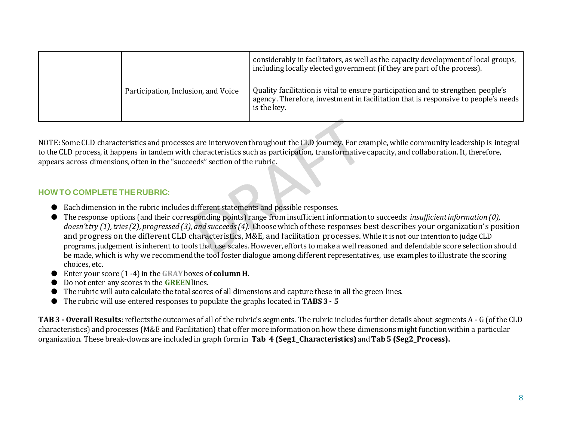|                                     | considerably in facilitators, as well as the capacity development of local groups,<br>including locally elected government (if they are part of the process).                         |
|-------------------------------------|---------------------------------------------------------------------------------------------------------------------------------------------------------------------------------------|
| Participation, Inclusion, and Voice | Quality facilitation is vital to ensure participation and to strengthen people's<br>agency. Therefore, investment in facilitation that is responsive to people's needs<br>is the key. |

NOTE: Some CLD characteristics and processes are interwoven throughout the CLD journey. For example, while community leadership is integral to the CLD process, it happens in tandem with characteristics such as participation, transformative capacity, and collaboration. It, therefore, appears across dimensions, often in the "succeeds" section of the rubric.

### **HOW TO COMPLETE THE RUBRIC:**

- Each dimension in the rubric includes different statements and possible responses.
- The response options (and their corresponding points) range from insufficient information to succeeds: *insufficient information (0), doesn't try (1), tries (2), progressed (3), and succeeds (4).* Choose which of these responses best describes your organization's position and progress on the different CLD characteristics, M&E, and facilitation processes. While it is not our intention to judge CLD programs, judgement is inherent to tools that use scales. However, efforts to make a well reasoned and defendable score selection should be made, which is why we recommend the tool foster dialogue among different representatives, use examples to illustrate the scoring choices, etc.
- Enter your score (1 -4) in the **GRAY**boxes of **column H.**
- Do not enter any scores in the **GREEN**lines.
- The rubric will auto calculate the total scores of all dimensions and capture these in all the green lines.
- The rubric will use entered responses to populate the graphs located in **TABS 3 - 5**

**TAB 3 - Overall Results**: reflects the outcomes of all of the rubric's segments. The rubric includes further details about segments A - G (of the CLD characteristics) and processes (M&E and Facilitation) that offer more information on how these dimensions might function within a particular organization. These break-downs are included in graph form in **Tab 4 (Seg1\_Characteristics)** and **Tab 5 (Seg2\_Process).**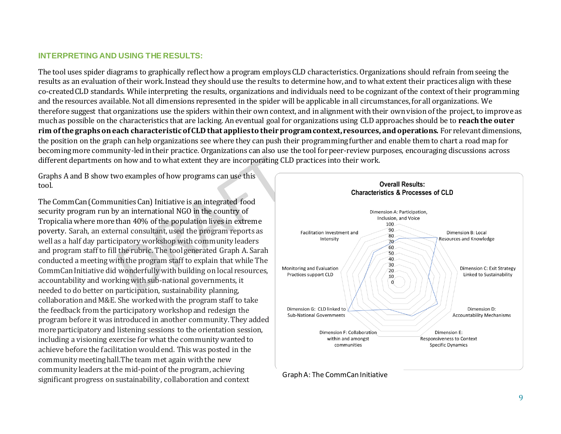#### **INTERPRETING AND USING THE RESULTS:**

The tool uses spider diagrams to graphically reflect how a program employs CLD characteristics. Organizations should refrain from seeing the results as an evaluation of their work. Instead they should use the results to determine how, and to what extent their practices align with these co-created CLD standards. While interpreting the results, organizations and individuals need to be cognizant of the context of their programming and the resources available. Not all dimensions represented in the spider will be applicable in all circumstances, for all organizations. We therefore suggest that organizations use the spiders within their own context, and in alignment with their own vision of the project, to improve as much as possible on the characteristics that are lacking. An eventual goal for organizations using CLD approaches should be to **reach the outer rim of the graphs on each characteristic of CLD that applies to their program context, resources, and operations.** For relevant dimensions, the position on the graph can help organizations see where they can push their programming further and enable them to chart a road map for becoming more community-led in their practice. Organizations can also use the tool for peer-review purposes, encouraging discussions across different departments on how and to what extent they are incorporating CLD practices into their work.

Graphs A and B show two examples of how programs can use this tool.

The CommCan (Communities Can) Initiative is an integrated food security program run by an international NGO in the country of Tropicalia where more than 40% of the population lives in extreme poverty. Sarah, an external consultant, used the program reports as well as a half day participatory workshop with community leaders and program staff to fill the rubric. The tool generated Graph A. Sarah conducted a meeting with the program staff to explain that while The CommCan Initiative did wonderfully with building on local resources, accountability and working with sub-national governments, it needed to do better on participation, sustainability planning, collaboration and M&E. She worked with the program staff to take the feedback from the participatory workshop and redesign the program before it was introduced in another community. They added more participatory and listening sessions to the orientation session, including a visioning exercise for what the community wanted to achieve before the facilitation would end. This was posted in the community meeting hall.The team met again with the new community leaders at the mid-point of the program, achieving significant progress on sustainability, collaboration and context



#### Graph A: The CommCan Initiative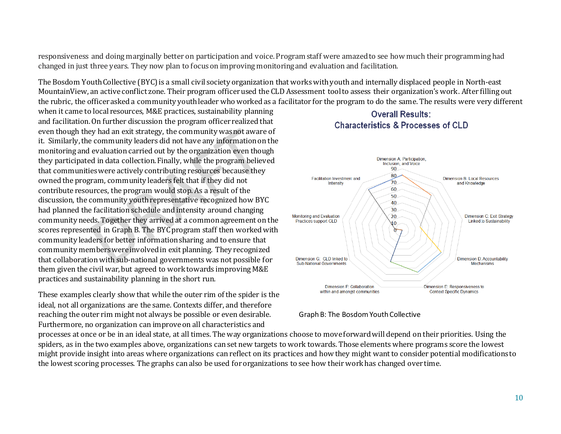responsiveness and doing marginally better on participation and voice. Program staff were amazed to see how much their programming had changed in just three years. They now plan to focus on improving monitoring and evaluation and facilitation.

The Bosdom Youth Collective (BYC) is a small civil society organization that works with youth and internally displaced people in North-east MountainView, an active conflict zone. Their program officer used the CLD Assessment tool to assess their organization's work. After filling out the rubric, the officer asked a community youth leader who worked as a facilitator for the program to do the same. The results were very different

when it came to local resources, M&E practices, sustainability planning and facilitation. On further discussion the program officer realized that even though they had an exit strategy, the community was not aware of it. Similarly, the community leaders did not have any information on the monitoring and evaluation carried out by the organization even though they participated in data collection. Finally, while the program believed that communities were actively contributing resources because they owned the program, community leaders felt that if they did not contribute resources, the program would stop. As a result of the discussion, the community youth representative recognized how BYC had planned the facilitation schedule and intensity around changing community needs. Together they arrived at a common agreement on the scores represented in Graph B. The BYC program staff then worked with community leaders for better information sharing and to ensure that community members were involved in exit planning. They recognized that collaboration with sub-national governments was not possible for them given the civil war, but agreed to work towards improving M&E practices and sustainability planning in the short run.

These examples clearly show that while the outer rim of the spider is the ideal, not all organizations are the same. Contexts differ, and therefore reaching the outer rim might not always be possible or even desirable. Furthermore, no organization can improve on all characteristics and

# Overall Results: **Characteristics & Processes of CLD**



#### Graph B: The Bosdom Youth Collective

processes at once or be in an ideal state, at all times. The way organizations choose to move forward will depend on their priorities. Using the spiders, as in the two examples above, organizations can set new targets to work towards. Those elements where programs score the lowest might provide insight into areas where organizations can reflect on its practices and how they might want to consider potential modifications to the lowest scoring processes. The graphs can also be used for organizations to see how their work has changed over time.